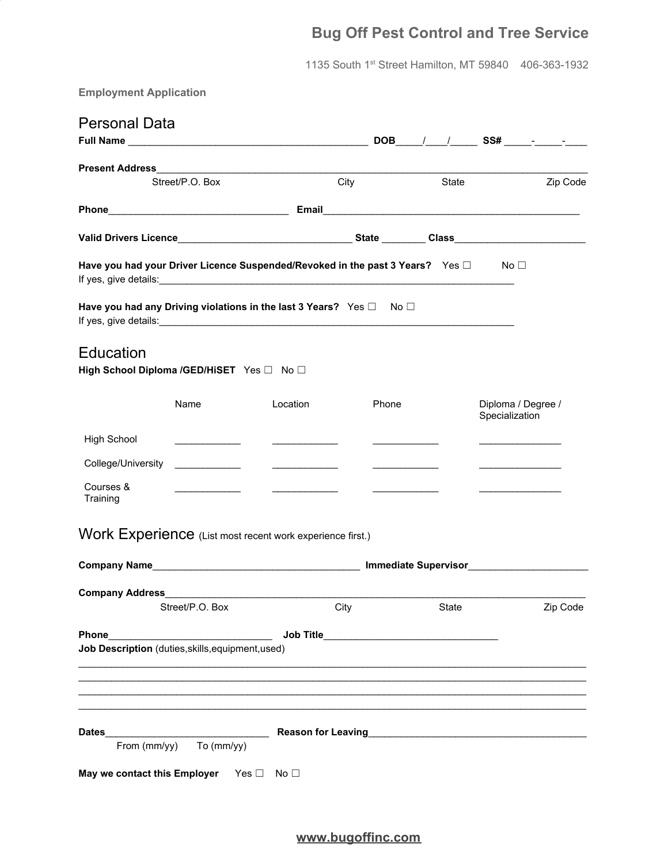# **Bug Off Pest Control and Tree Service**

1135 South 1 st Street Hamilton, MT 59840 406-363-1932

**Employment Application**

| City<br>Street/P.O. Box<br>State<br>Have you had your Driver Licence Suspended/Revoked in the past 3 Years? Yes □<br>$\mathsf{No} \sqcup$<br>Have you had any Driving violations in the last 3 Years? Yes $\square$ No $\square$<br>Education<br>High School Diploma /GED/HiSET Yes □ No □<br>Name<br>Location<br>Diploma / Degree /<br>Phone<br>Specialization<br><b>High School</b><br>College/University<br>$\overline{\phantom{a}}$ and $\overline{\phantom{a}}$ and $\overline{\phantom{a}}$<br>$\overline{\phantom{a}}$ and $\overline{\phantom{a}}$ and $\overline{\phantom{a}}$<br>Courses &<br>Training<br>Street/P.O. Box City City<br><b>Example 2018 Reason for Leaving Contract Contract Contract Contract Contract Contract Contract Contract Contract Contract Contract Contract Contract Contract Contract Contract Contract Contract Contract Contract Contract </b><br>From (mm/yy) To (mm/yy) |          |
|------------------------------------------------------------------------------------------------------------------------------------------------------------------------------------------------------------------------------------------------------------------------------------------------------------------------------------------------------------------------------------------------------------------------------------------------------------------------------------------------------------------------------------------------------------------------------------------------------------------------------------------------------------------------------------------------------------------------------------------------------------------------------------------------------------------------------------------------------------------------------------------------------------------|----------|
|                                                                                                                                                                                                                                                                                                                                                                                                                                                                                                                                                                                                                                                                                                                                                                                                                                                                                                                  |          |
|                                                                                                                                                                                                                                                                                                                                                                                                                                                                                                                                                                                                                                                                                                                                                                                                                                                                                                                  |          |
|                                                                                                                                                                                                                                                                                                                                                                                                                                                                                                                                                                                                                                                                                                                                                                                                                                                                                                                  | Zip Code |
|                                                                                                                                                                                                                                                                                                                                                                                                                                                                                                                                                                                                                                                                                                                                                                                                                                                                                                                  |          |
|                                                                                                                                                                                                                                                                                                                                                                                                                                                                                                                                                                                                                                                                                                                                                                                                                                                                                                                  |          |
|                                                                                                                                                                                                                                                                                                                                                                                                                                                                                                                                                                                                                                                                                                                                                                                                                                                                                                                  |          |
|                                                                                                                                                                                                                                                                                                                                                                                                                                                                                                                                                                                                                                                                                                                                                                                                                                                                                                                  |          |
| Work Experience (List most recent work experience first.)<br>Company Address <b>Company Address</b><br>Phone<br>Job Description (duties, skills, equipment, used)<br><b>Dates</b>                                                                                                                                                                                                                                                                                                                                                                                                                                                                                                                                                                                                                                                                                                                                |          |
|                                                                                                                                                                                                                                                                                                                                                                                                                                                                                                                                                                                                                                                                                                                                                                                                                                                                                                                  |          |
|                                                                                                                                                                                                                                                                                                                                                                                                                                                                                                                                                                                                                                                                                                                                                                                                                                                                                                                  |          |
|                                                                                                                                                                                                                                                                                                                                                                                                                                                                                                                                                                                                                                                                                                                                                                                                                                                                                                                  |          |
|                                                                                                                                                                                                                                                                                                                                                                                                                                                                                                                                                                                                                                                                                                                                                                                                                                                                                                                  |          |
|                                                                                                                                                                                                                                                                                                                                                                                                                                                                                                                                                                                                                                                                                                                                                                                                                                                                                                                  |          |
|                                                                                                                                                                                                                                                                                                                                                                                                                                                                                                                                                                                                                                                                                                                                                                                                                                                                                                                  |          |
|                                                                                                                                                                                                                                                                                                                                                                                                                                                                                                                                                                                                                                                                                                                                                                                                                                                                                                                  |          |
|                                                                                                                                                                                                                                                                                                                                                                                                                                                                                                                                                                                                                                                                                                                                                                                                                                                                                                                  | Zip Code |
|                                                                                                                                                                                                                                                                                                                                                                                                                                                                                                                                                                                                                                                                                                                                                                                                                                                                                                                  |          |
|                                                                                                                                                                                                                                                                                                                                                                                                                                                                                                                                                                                                                                                                                                                                                                                                                                                                                                                  |          |
|                                                                                                                                                                                                                                                                                                                                                                                                                                                                                                                                                                                                                                                                                                                                                                                                                                                                                                                  |          |
|                                                                                                                                                                                                                                                                                                                                                                                                                                                                                                                                                                                                                                                                                                                                                                                                                                                                                                                  |          |
|                                                                                                                                                                                                                                                                                                                                                                                                                                                                                                                                                                                                                                                                                                                                                                                                                                                                                                                  |          |
|                                                                                                                                                                                                                                                                                                                                                                                                                                                                                                                                                                                                                                                                                                                                                                                                                                                                                                                  |          |
| May we contact this Employer Yes In No                                                                                                                                                                                                                                                                                                                                                                                                                                                                                                                                                                                                                                                                                                                                                                                                                                                                           |          |

**[www.bugoffinc.com](http://www.bugoffinc.com/)**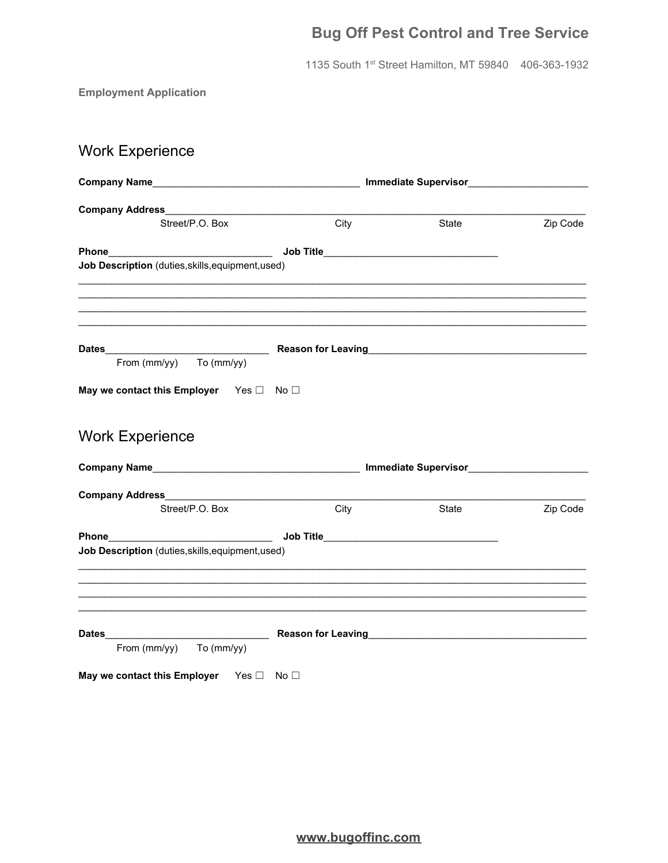# **Bug Off Pest Control and Tree Service**

1135 South 1st Street Hamilton, MT 59840 406-363-1932

**Employment Application** 

# **Work Experience**

| Company Name <b>Company</b> Name                        |      |       |          |
|---------------------------------------------------------|------|-------|----------|
|                                                         |      |       |          |
| Street/P.O. Box                                         | City | State | Zip Code |
|                                                         |      |       |          |
| Job Description (duties, skills, equipment, used)       |      |       |          |
|                                                         |      |       |          |
|                                                         |      |       |          |
| From $(mm/yy)$ To $(mm/yy)$                             |      |       |          |
| May we contact this Employer Yes D No D                 |      |       |          |
| <b>Work Experience</b>                                  |      |       |          |
|                                                         |      |       |          |
|                                                         |      |       |          |
| Street/P.O. Box                                         | City | State | Zip Code |
|                                                         |      |       |          |
| Job Description (duties, skills, equipment, used)       |      |       |          |
|                                                         |      |       |          |
|                                                         |      |       |          |
|                                                         |      |       |          |
| From (mm/yy) To (mm/yy)                                 |      |       |          |
| May we contact this Employer Yes $\square$ No $\square$ |      |       |          |

www.bugoffinc.com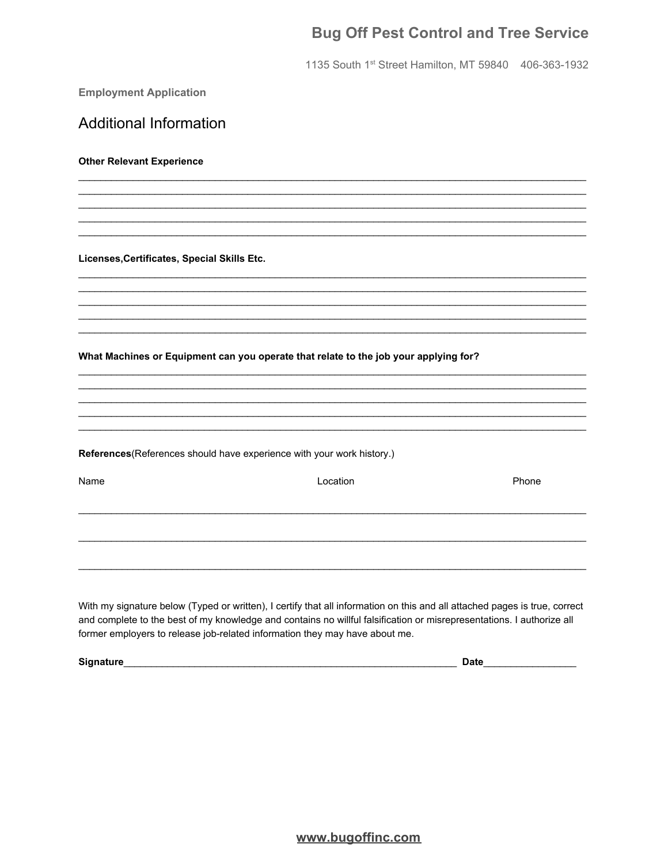## **Bug Off Pest Control and Tree Service**

1135 South 1st Street Hamilton, MT 59840 406-363-1932

**Employment Application** 

**Additional Information Other Relevant Experience** Licenses, Certificates, Special Skills Etc. What Machines or Equipment can you operate that relate to the job your applying for? References (References should have experience with your work history.) Name Location Phone With my signature below (Typed or written), I certify that all information on this and all attached pages is true, correct

and complete to the best of my knowledge and contains no willful falsification or misrepresentations. I authorize all former employers to release job-related information they may have about me.